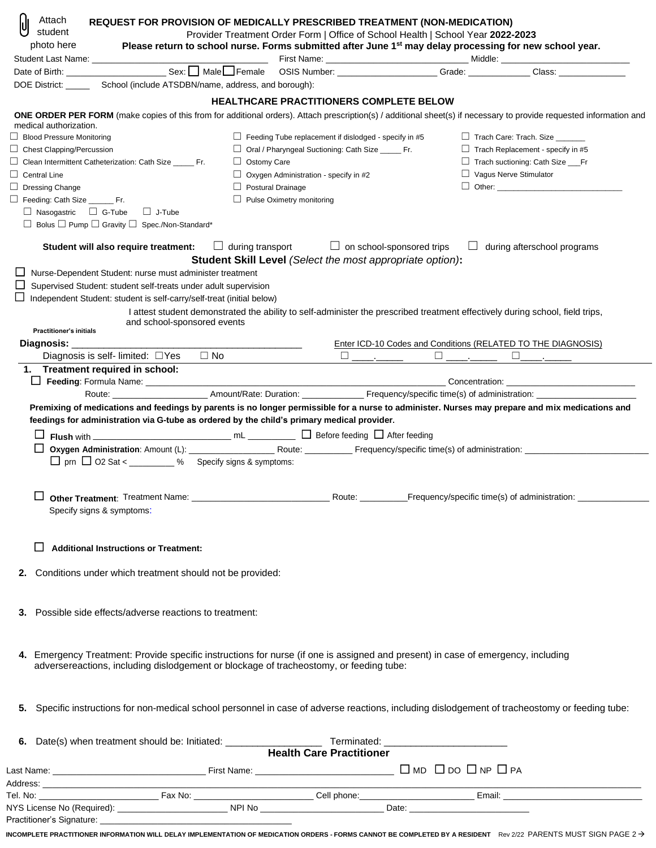| Attach                                        | REQUEST FOR PROVISION OF MEDICALLY PRESCRIBED TREATMENT (NON-MEDICATION)                                                                                                                                                      |                          |                                                                                                                                                                                            |                               |                                                                                  |
|-----------------------------------------------|-------------------------------------------------------------------------------------------------------------------------------------------------------------------------------------------------------------------------------|--------------------------|--------------------------------------------------------------------------------------------------------------------------------------------------------------------------------------------|-------------------------------|----------------------------------------------------------------------------------|
| student<br>photo here                         |                                                                                                                                                                                                                               |                          | Provider Treatment Order Form   Office of School Health   School Year 2022-2023<br>Please return to school nurse. Forms submitted after June 1st may delay processing for new school year. |                               |                                                                                  |
|                                               |                                                                                                                                                                                                                               |                          |                                                                                                                                                                                            |                               |                                                                                  |
|                                               | Date of Birth: Games Communication Communication Communication Communication Communication Communication Communication Communication Communication Communication Communication Communication Communication Communication Comm |                          |                                                                                                                                                                                            |                               | Class: <b>Class</b> :                                                            |
|                                               | DOE District: _________ School (include ATSDBN/name, address, and borough):                                                                                                                                                   |                          |                                                                                                                                                                                            |                               |                                                                                  |
|                                               |                                                                                                                                                                                                                               |                          | <b>HEALTHCARE PRACTITIONERS COMPLETE BELOW</b>                                                                                                                                             |                               |                                                                                  |
|                                               | ONE ORDER PER FORM (make copies of this from for additional orders). Attach prescription(s) / additional sheet(s) if necessary to provide requested information and                                                           |                          |                                                                                                                                                                                            |                               |                                                                                  |
| medical authorization.                        |                                                                                                                                                                                                                               |                          |                                                                                                                                                                                            |                               |                                                                                  |
| $\Box$ Blood Pressure Monitoring              |                                                                                                                                                                                                                               |                          | $\Box$ Feeding Tube replacement if dislodged - specify in #5                                                                                                                               |                               | $\Box$ Trach Care: Trach. Size                                                   |
| $\Box$ Chest Clapping/Percussion              |                                                                                                                                                                                                                               |                          | □ Oral / Pharyngeal Suctioning: Cath Size ______ Fr.                                                                                                                                       |                               | $\Box$ Trach Replacement - specify in #5                                         |
|                                               | $\Box$ Clean Intermittent Catheterization: Cath Size ______ Fr.                                                                                                                                                               | $\Box$ Ostomy Care       |                                                                                                                                                                                            |                               | Trach suctioning: Cath Size ___ Fr                                               |
| $\Box$ Central Line<br>$\Box$ Dressing Change |                                                                                                                                                                                                                               | $\Box$ Postural Drainage | $\Box$ Oxygen Administration - specify in #2                                                                                                                                               | $\Box$ Vagus Nerve Stimulator |                                                                                  |
| Feeding: Cath Size ________ Fr.               |                                                                                                                                                                                                                               |                          | $\Box$ Pulse Oximetry monitoring                                                                                                                                                           |                               |                                                                                  |
| $\Box$ Nasogastric $\Box$ G-Tube              | $\Box$ J-Tube                                                                                                                                                                                                                 |                          |                                                                                                                                                                                            |                               |                                                                                  |
|                                               | $\Box$ Bolus $\Box$ Pump $\Box$ Gravity $\Box$ Spec./Non-Standard*                                                                                                                                                            |                          |                                                                                                                                                                                            |                               |                                                                                  |
|                                               | Student will also require treatment:                                                                                                                                                                                          |                          | $\Box$ during transport<br>$\Box$ on school-sponsored trips                                                                                                                                |                               | $\Box$ during afterschool programs                                               |
|                                               |                                                                                                                                                                                                                               |                          | <b>Student Skill Level</b> (Select the most appropriate option):                                                                                                                           |                               |                                                                                  |
|                                               | Nurse-Dependent Student: nurse must administer treatment<br>Supervised Student: student self-treats under adult supervision                                                                                                   |                          |                                                                                                                                                                                            |                               |                                                                                  |
|                                               | Independent Student: student is self-carry/self-treat (initial below)                                                                                                                                                         |                          |                                                                                                                                                                                            |                               |                                                                                  |
|                                               |                                                                                                                                                                                                                               |                          | I attest student demonstrated the ability to self-administer the prescribed treatment effectively during school, field trips,                                                              |                               |                                                                                  |
|                                               | and school-sponsored events                                                                                                                                                                                                   |                          |                                                                                                                                                                                            |                               |                                                                                  |
| <b>Practitioner's initials</b>                |                                                                                                                                                                                                                               |                          |                                                                                                                                                                                            |                               |                                                                                  |
| Diagnosis: ______________                     | $\Box$ No<br>Diagnosis is self-limited: $\Box$ Yes                                                                                                                                                                            |                          |                                                                                                                                                                                            |                               | Enter ICD-10 Codes and Conditions (RELATED TO THE DIAGNOSIS)                     |
|                                               | 1. Treatment required in school:                                                                                                                                                                                              |                          |                                                                                                                                                                                            |                               |                                                                                  |
|                                               |                                                                                                                                                                                                                               |                          |                                                                                                                                                                                            |                               | Concentration: <u>contration</u>                                                 |
|                                               | Route: ___________________________Amount/Rate: Duration: ________________________ Frequency/specific time(s) of administration: _____________________                                                                         |                          |                                                                                                                                                                                            |                               |                                                                                  |
|                                               | feedings for administration via G-tube as ordered by the child's primary medical provider.                                                                                                                                    |                          |                                                                                                                                                                                            |                               |                                                                                  |
|                                               | $\Box$ prn $\Box$ O2 Sat < _________ % Specify signs & symptoms:                                                                                                                                                              |                          |                                                                                                                                                                                            |                               |                                                                                  |
|                                               |                                                                                                                                                                                                                               |                          |                                                                                                                                                                                            |                               | Route: ______________Frequency/specific time(s) of administration: _____________ |
|                                               | Specify signs & symptoms:                                                                                                                                                                                                     |                          |                                                                                                                                                                                            |                               |                                                                                  |
|                                               | <b>Additional Instructions or Treatment:</b>                                                                                                                                                                                  |                          |                                                                                                                                                                                            |                               |                                                                                  |
| 2.                                            | Conditions under which treatment should not be provided:                                                                                                                                                                      |                          |                                                                                                                                                                                            |                               |                                                                                  |
| 3.                                            | Possible side effects/adverse reactions to treatment:                                                                                                                                                                         |                          |                                                                                                                                                                                            |                               |                                                                                  |
|                                               | 4. Emergency Treatment: Provide specific instructions for nurse (if one is assigned and present) in case of emergency, including                                                                                              |                          |                                                                                                                                                                                            |                               |                                                                                  |
|                                               | adversereactions, including dislodgement or blockage of tracheostomy, or feeding tube:                                                                                                                                        |                          |                                                                                                                                                                                            |                               |                                                                                  |
| 5.                                            | Specific instructions for non-medical school personnel in case of adverse reactions, including dislodgement of tracheostomy or feeding tube:                                                                                  |                          |                                                                                                                                                                                            |                               |                                                                                  |
| 6.                                            |                                                                                                                                                                                                                               |                          |                                                                                                                                                                                            |                               |                                                                                  |
|                                               |                                                                                                                                                                                                                               |                          |                                                                                                                                                                                            |                               |                                                                                  |
|                                               |                                                                                                                                                                                                                               |                          |                                                                                                                                                                                            |                               |                                                                                  |
|                                               |                                                                                                                                                                                                                               |                          |                                                                                                                                                                                            |                               |                                                                                  |
|                                               |                                                                                                                                                                                                                               |                          |                                                                                                                                                                                            |                               |                                                                                  |

| Practitioner's Signature: |  |  |
|---------------------------|--|--|

**INCOMPLETE PRACTITIONER INFORMATION WILL DELAY IMPLEMENTATION OF MEDICATION ORDERS - FORMS CANNOT BE COMPLETED BY A RESIDENT** Rev 2/22 PARENTS MUST SIGN PAGE 2